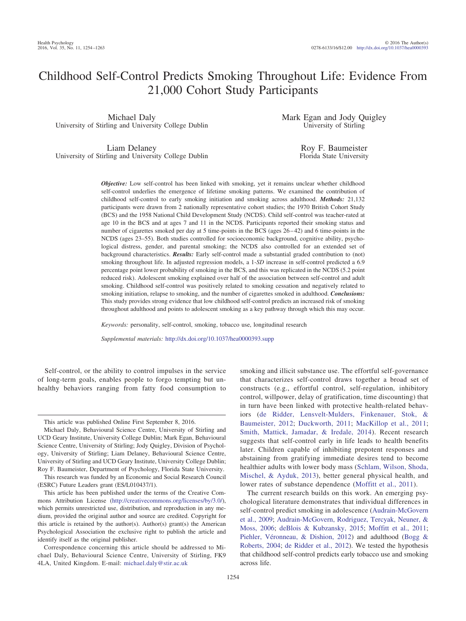# Childhood Self-Control Predicts Smoking Throughout Life: Evidence From 21,000 Cohort Study Participants

Michael Daly University of Stirling and University College Dublin Mark Egan and Jody Quigley University of Stirling

Liam Delaney University of Stirling and University College Dublin

Roy F. Baumeister Florida State University

*Objective:* Low self-control has been linked with smoking, yet it remains unclear whether childhood self-control underlies the emergence of lifetime smoking patterns. We examined the contribution of childhood self-control to early smoking initiation and smoking across adulthood. *Methods:* 21,132 participants were drawn from 2 nationally representative cohort studies; the 1970 British Cohort Study (BCS) and the 1958 National Child Development Study (NCDS). Child self-control was teacher-rated at age 10 in the BCS and at ages 7 and 11 in the NCDS. Participants reported their smoking status and number of cigarettes smoked per day at 5 time-points in the BCS (ages 26–42) and 6 time-points in the NCDS (ages 23–55). Both studies controlled for socioeconomic background, cognitive ability, psychological distress, gender, and parental smoking; the NCDS also controlled for an extended set of background characteristics. *Results:* Early self-control made a substantial graded contribution to (not) smoking throughout life. In adjusted regression models, a 1-*SD* increase in self-control predicted a 6.9 percentage point lower probability of smoking in the BCS, and this was replicated in the NCDS (5.2 point reduced risk). Adolescent smoking explained over half of the association between self-control and adult smoking. Childhood self-control was positively related to smoking cessation and negatively related to smoking initiation, relapse to smoking, and the number of cigarettes smoked in adulthood. *Conclusions:* This study provides strong evidence that low childhood self-control predicts an increased risk of smoking throughout adulthood and points to adolescent smoking as a key pathway through which this may occur.

*Keywords:* personality, self-control, smoking, tobacco use, longitudinal research

*Supplemental materials:* http://dx.doi.org[/10.1037/hea0000393.supp](http://dx.doi.org/10.1037/hea0000393.supp)

Self-control, or the ability to control impulses in the service of long-term goals, enables people to forgo tempting but unhealthy behaviors ranging from fatty food consumption to

This research was funded by an Economic and Social Research Council (ESRC) Future Leaders grant (ES/L010437/1).

smoking and illicit substance use. The effortful self-governance that characterizes self-control draws together a broad set of constructs (e.g., effortful control, self-regulation, inhibitory control, willpower, delay of gratification, time discounting) that in turn have been linked with protective health-related behaviors [\(de Ridder, Lensvelt-Mulders, Finkenauer, Stok, &](#page-8-0) [Baumeister, 2012;](#page-8-0) [Duckworth, 2011;](#page-8-1) [MacKillop et al., 2011;](#page-8-2) [Smith, Mattick, Jamadar, & Iredale, 2014\)](#page-9-0). Recent research suggests that self-control early in life leads to health benefits later. Children capable of inhibiting prepotent responses and abstaining from gratifying immediate desires tend to become healthier adults with lower body mass [\(Schlam, Wilson, Shoda,](#page-9-1) [Mischel, & Ayduk, 2013\)](#page-9-1), better general physical health, and lower rates of substance dependence [\(Moffitt et al., 2011\)](#page-8-3).

The current research builds on this work. An emerging psychological literature demonstrates that individual differences in self-control predict smoking in adolescence [\(Audrain-McGovern](#page-7-0) [et al., 2009;](#page-7-0) [Audrain-McGovern, Rodriguez, Tercyak, Neuner, &](#page-7-1) [Moss, 2006;](#page-7-1) [deBlois & Kubzansky, 2015;](#page-8-4) [Moffitt et al., 2011;](#page-8-3) [Piehler, Véronneau, & Dishion, 2012\)](#page-9-2) and adulthood [\(Bogg &](#page-7-2) [Roberts, 2004;](#page-7-2) [de Ridder et al., 2012\)](#page-8-0). We tested the hypothesis that childhood self-control predicts early tobacco use and smoking across life.

This article was published Online First September 8, 2016.

Michael Daly, Behavioural Science Centre, University of Stirling and UCD Geary Institute, University College Dublin; Mark Egan, Behavioural Science Centre, University of Stirling; Jody Quigley, Division of Psychology, University of Stirling; Liam Delaney, Behavioural Science Centre, University of Stirling and UCD Geary Institute, University College Dublin; Roy F. Baumeister, Department of Psychology, Florida State University.

This article has been published under the terms of the Creative Commons Attribution License [\(http://creativecommons.org/licenses/by/3.0/\)](http://creativecommons.org/licenses/by/3.0/), which permits unrestricted use, distribution, and reproduction in any medium, provided the original author and source are credited. Copyright for this article is retained by the author(s). Author(s) grant(s) the American Psychological Association the exclusive right to publish the article and identify itself as the original publisher.

Correspondence concerning this article should be addressed to Michael Daly, Behavioural Science Centre, University of Stirling, FK9 4LA, United Kingdom. E-mail: [michael.daly@stir.ac.uk](mailto:michael.daly@stir.ac.uk)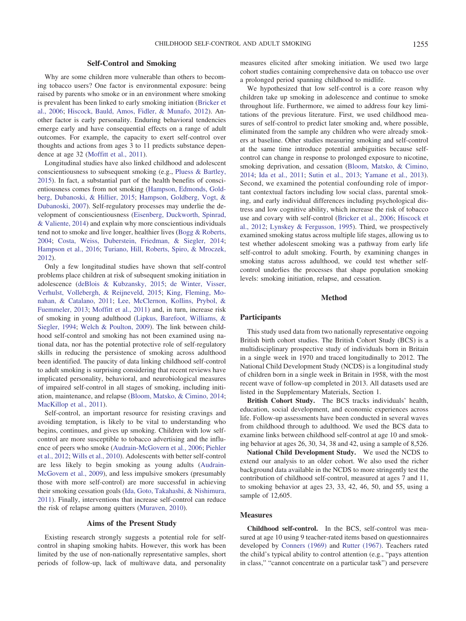# **Self-Control and Smoking**

Why are some children more vulnerable than others to becoming tobacco users? One factor is environmental exposure: being raised by parents who smoke or in an environment where smoking is prevalent has been linked to early smoking initiation [\(Bricker et](#page-7-3) [al., 2006;](#page-7-3) [Hiscock, Bauld, Amos, Fidler, & Munafo, 2012\)](#page-8-5). Another factor is early personality. Enduring behavioral tendencies emerge early and have consequential effects on a range of adult outcomes. For example, the capacity to exert self-control over thoughts and actions from ages 3 to 11 predicts substance dependence at age 32 [\(Moffitt et al., 2011\)](#page-8-3).

Longitudinal studies have also linked childhood and adolescent conscientiousness to subsequent smoking (e.g., [Pluess & Bartley,](#page-9-3) [2015\)](#page-9-3). In fact, a substantial part of the health benefits of conscientiousness comes from not smoking [\(Hampson, Edmonds, Gold](#page-8-6)[berg, Dubanoski, & Hillier, 2015;](#page-8-6) [Hampson, Goldberg, Vogt, &](#page-8-7) [Dubanoski, 2007\)](#page-8-7). Self-regulatory processes may underlie the development of conscientiousness [\(Eisenberg, Duckworth, Spinrad,](#page-8-8) [& Valiente, 2014\)](#page-8-8) and explain why more conscientious individuals tend not to smoke and live longer, healthier lives [\(Bogg & Roberts,](#page-7-2) [2004;](#page-7-2) [Costa, Weiss, Duberstein, Friedman, & Siegler, 2014;](#page-8-9) [Hampson et al., 2016;](#page-8-10) [Turiano, Hill, Roberts, Spiro, & Mroczek,](#page-9-4) [2012\)](#page-9-4).

Only a few longitudinal studies have shown that self-control problems place children at risk of subsequent smoking initiation in adolescence [\(deBlois & Kubzansky, 2015;](#page-8-4) [de Winter, Visser,](#page-8-11) [Verhulst, Vollebergh, & Reijneveld, 2015;](#page-8-11) [King, Fleming, Mo](#page-8-12)[nahan, & Catalano, 2011;](#page-8-12) [Lee, McClernon, Kollins, Prybol, &](#page-8-13) [Fuemmeler, 2013;](#page-8-13) [Moffitt et al., 2011\)](#page-8-3) and, in turn, increase risk of smoking in young adulthood [\(Lipkus, Barefoot, Williams, &](#page-8-14) [Siegler, 1994;](#page-8-14) [Welch & Poulton, 2009\)](#page-9-5). The link between childhood self-control and smoking has not been examined using national data, nor has the potential protective role of self-regulatory skills in reducing the persistence of smoking across adulthood been identified. The paucity of data linking childhood self-control to adult smoking is surprising considering that recent reviews have implicated personality, behavioral, and neurobiological measures of impaired self-control in all stages of smoking, including initiation, maintenance, and relapse [\(Bloom, Matsko, & Cimino, 2014;](#page-7-4) [MacKillop et al., 2011\)](#page-8-2).

Self-control, an important resource for resisting cravings and avoiding temptation, is likely to be vital to understanding who begins, continues, and gives up smoking. Children with low selfcontrol are more susceptible to tobacco advertising and the influence of peers who smoke [\(Audrain-McGovern et al., 2006;](#page-7-1) [Piehler](#page-9-2) [et al., 2012;](#page-9-2) [Wills et al., 2010\)](#page-9-6). Adolescents with better self-control are less likely to begin smoking as young adults [\(Audrain-](#page-7-0)[McGovern et al., 2009\)](#page-7-0), and less impulsive smokers (presumably those with more self-control) are more successful in achieving their smoking cessation goals [\(Ida, Goto, Takahashi, & Nishimura,](#page-8-15) [2011\)](#page-8-15). Finally, interventions that increase self-control can reduce the risk of relapse among quitters [\(Muraven, 2010\)](#page-8-16).

# **Aims of the Present Study**

Existing research strongly suggests a potential role for selfcontrol in shaping smoking habits. However, this work has been limited by the use of non-nationally representative samples, short periods of follow-up, lack of multiwave data, and personality

measures elicited after smoking initiation. We used two large cohort studies containing comprehensive data on tobacco use over a prolonged period spanning childhood to midlife.

We hypothesized that low self-control is a core reason why children take up smoking in adolescence and continue to smoke throughout life. Furthermore, we aimed to address four key limitations of the previous literature. First, we used childhood measures of self-control to predict later smoking and, where possible, eliminated from the sample any children who were already smokers at baseline. Other studies measuring smoking and self-control at the same time introduce potential ambiguities because selfcontrol can change in response to prolonged exposure to nicotine, smoking deprivation, and cessation [\(Bloom, Matsko, & Cimino,](#page-7-4) [2014;](#page-7-4) [Ida et al., 2011;](#page-8-15) [Sutin et al., 2013;](#page-9-7) [Yamane et al., 2013\)](#page-9-8). Second, we examined the potential confounding role of important contextual factors including low social class, parental smoking, and early individual differences including psychological distress and low cognitive ability, which increase the risk of tobacco use and covary with self-control [\(Bricker et al., 2006;](#page-7-3) [Hiscock et](#page-8-5) [al., 2012;](#page-8-5) [Lynskey & Fergusson, 1995\)](#page-8-17). Third, we prospectively examined smoking status across multiple life stages, allowing us to test whether adolescent smoking was a pathway from early life self-control to adult smoking. Fourth, by examining changes in smoking status across adulthood, we could test whether selfcontrol underlies the processes that shape population smoking levels: smoking initiation, relapse, and cessation.

# **Method**

## **Participants**

This study used data from two nationally representative ongoing British birth cohort studies. The British Cohort Study (BCS) is a multidisciplinary prospective study of individuals born in Britain in a single week in 1970 and traced longitudinally to 2012. The National Child Development Study (NCDS) is a longitudinal study of children born in a single week in Britain in 1958, with the most recent wave of follow-up completed in 2013. All datasets used are listed in the Supplementary Materials, Section 1.

**British Cohort Study.** The BCS tracks individuals' health, education, social development, and economic experiences across life. Follow-up assessments have been conducted in several waves from childhood through to adulthood. We used the BCS data to examine links between childhood self-control at age 10 and smoking behavior at ages 26, 30, 34, 38 and 42, using a sample of 8,526.

**National Child Development Study.** We used the NCDS to extend our analysis to an older cohort. We also used the richer background data available in the NCDS to more stringently test the contribution of childhood self-control, measured at ages 7 and 11, to smoking behavior at ages 23, 33, 42, 46, 50, and 55, using a sample of 12,605.

### **Measures**

**Childhood self-control.** In the BCS, self-control was measured at age 10 using 9 teacher-rated items based on questionnaires developed by [Conners \(1969\)](#page-8-18) and [Rutter \(1967\).](#page-9-9) Teachers rated the child's typical ability to control attention (e.g., "pays attention in class," "cannot concentrate on a particular task") and persevere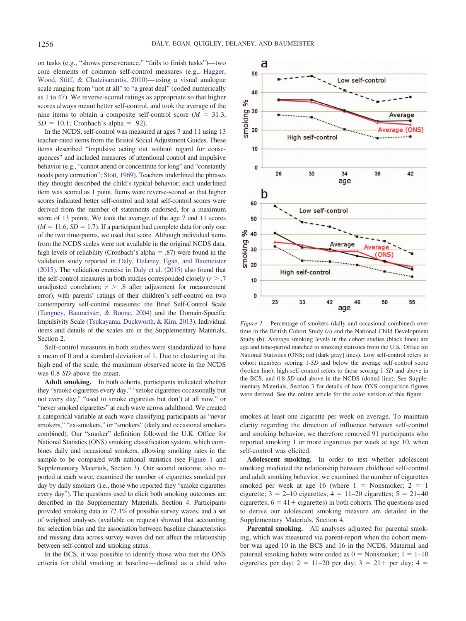on tasks (e.g., "shows perseverance," "fails to finish tasks")—two core elements of common self-control measures (e.g., [Hagger,](#page-8-19) [Wood, Stiff, & Chatzisarantis, 2010\)](#page-8-19)—using a visual analogue scale ranging from "not at all" to "a great deal" (coded numerically as 1 to 47). We reverse-scored ratings as appropriate so that higher scores always meant better self-control, and took the average of the nine items to obtain a composite self-control score  $(M = 31.3,$  $SD = 10.1$ ; Cronbach's alpha = .92).

In the NCDS, self-control was measured at ages 7 and 11 using 13 teacher-rated items from the Bristol Social Adjustment Guides. These items described "impulsive acting out without regard for consequences" and included measures of attentional control and impulsive behavior (e.g., "cannot attend or concentrate for long" and "constantly needs petty correction"; [Stott, 1969\)](#page-9-10). Teachers underlined the phrases they thought described the child's typical behavior; each underlined item was scored as 1 point. Items were reverse-scored so that higher scores indicated better self-control and total self-control scores were derived from the number of statements endorsed, for a maximum score of 13 points. We took the average of the age 7 and 11 scores  $(M = 11.6, SD = 1.7)$ . If a participant had complete data for only one of the two time-points, we used that score. Although individual items from the NCDS scales were not available in the original NCDS data, high levels of reliability (Cronbach's alpha  $= .87$ ) were found in the validation study reported in [Daly, Delaney, Egan, and Baumeister](#page-8-20) [\(2015\).](#page-8-20) The validation exercise in [Daly et al. \(2015\)](#page-8-21) also found that the self-control measures in both studies corresponded closely  $(r > .7)$ unadjusted correlation;  $r > .8$  after adjustment for measurement error), with parents' ratings of their children's self-control on two contemporary self-control measures: the Brief Self-Control Scale [\(Tangney, Baumeister, & Boone, 2004\)](#page-9-11) and the Domain-Specific Impulsivity Scale [\(Tsukayama, Duckworth, & Kim, 2013\)](#page-9-12). Individual items and details of the scales are in the Supplementary Materials, Section 2.

Self-control measures in both studies were standardized to have a mean of 0 and a standard deviation of 1. Due to clustering at the high end of the scale, the maximum observed score in the NCDS was 0.8 *SD* above the mean.

**Adult smoking.** In both cohorts, participants indicated whether they "smoke cigarettes every day," "smoke cigarettes occasionally but not every day," "used to smoke cigarettes but don't at all now," or "never smoked cigarettes" at each wave across adulthood. We created a categorical variable at each wave classifying participants as "never smokers," "ex-smokers," or "smokers" (daily and occasional smokers combined). Our "smoker" definition followed the U.K. Office for National Statistics (ONS) smoking classification system, which combines daily and occasional smokers, allowing smoking rates in the sample to be compared with national statistics (see [Figure 1](#page-2-0) and Supplementary Materials, Section 3). Our second outcome, also reported at each wave, examined the number of cigarettes smoked per day by daily smokers (i.e., those who reported they "smoke cigarettes every day"). The questions used to elicit both smoking outcomes are described in the Supplementary Materials, Section 4. Participants provided smoking data in 72.4% of possible survey waves, and a set of weighted analyses (available on request) showed that accounting for selection bias and the association between baseline characteristics and missing data across survey waves did not affect the relationship between self-control and smoking status.

In the BCS, it was possible to identify those who met the ONS criteria for child smoking at baseline—defined as a child who



<span id="page-2-0"></span>*Figure 1.* Percentage of smokers (daily and occasional combined) over time in the British Cohort Study (a) and the National Child Development Study (b). Average smoking levels in the cohort studies (black lines) are age and time-period matched to smoking statistics from the U.K. Office for National Statistics (ONS; red [dark gray] lines). Low self-control refers to cohort members scoring 1-*SD* and below the average self-control score (broken line); high self-control refers to those scoring 1-*SD* and above in the BCS, and 0.8-*SD* and above in the NCDS (dotted line). See Supplementary Materials, Section 3 for details of how ONS comparison figures were derived. See the online article for the color version of this figure.

smokes at least one cigarette per week on average. To maintain clarity regarding the direction of influence between self-control and smoking behavior, we therefore removed 91 participants who reported smoking 1 or more cigarettes per week at age 10, when self-control was elicited.

**Adolescent smoking.** In order to test whether adolescent smoking mediated the relationship between childhood self-control and adult smoking behavior, we examined the number of cigarettes smoked per week at age 16 (where  $1 =$  Nonsmoker;  $2 = 1$ cigarette;  $3 = 2{\text -}10$  cigarettes;  $4 = 11{\text -}20$  cigarettes;  $5 = 21{\text -}40$ cigarettes;  $6 = 41 +$  cigarettes) in both cohorts. The questions used to derive our adolescent smoking measure are detailed in the Supplementary Materials, Section 4.

**Parental smoking.** All analyses adjusted for parental smoking, which was measured via parent-report when the cohort member was aged 10 in the BCS and 16 in the NCDS. Maternal and paternal smoking habits were coded as  $0 =$  Nonsmoker;  $1 = 1-10$ cigarettes per day;  $2 = 11-20$  per day;  $3 = 21+$  per day;  $4 =$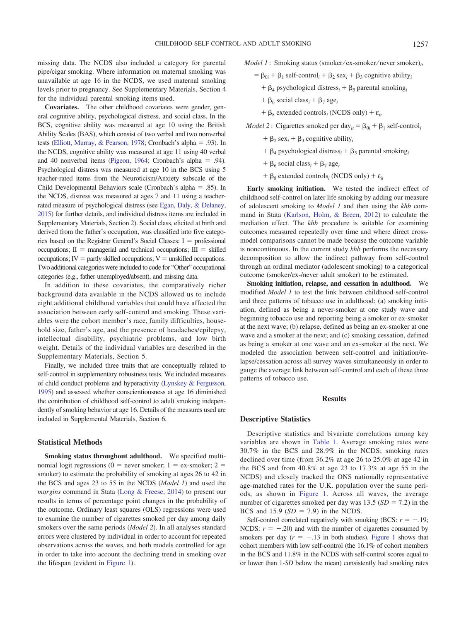missing data. The NCDS also included a category for parental pipe/cigar smoking. Where information on maternal smoking was unavailable at age 16 in the NCDS, we used maternal smoking levels prior to pregnancy. See Supplementary Materials, Section 4 for the individual parental smoking items used.

**Covariates.** The other childhood covariates were gender, general cognitive ability, psychological distress, and social class. In the BCS, cognitive ability was measured at age 10 using the British Ability Scales (BAS), which consist of two verbal and two nonverbal tests [\(Elliott, Murray, & Pearson, 1978;](#page-8-22) Cronbach's alpha = .93). In the NCDS, cognitive ability was measured at age 11 using 40 verbal and 40 nonverbal items [\(Pigeon, 1964;](#page-9-13) Cronbach's alpha = .94). Psychological distress was measured at age 10 in the BCS using 5 teacher-rated items from the Neuroticism/Anxiety subscale of the Child Developmental Behaviors scale (Cronbach's alpha = .85). In the NCDS, distress was measured at ages 7 and 11 using a teacherrated measure of psychological distress (see [Egan, Daly, & Delaney,](#page-8-23) [2015\)](#page-8-23) for further details, and individual distress items are included in Supplementary Materials, Section 2). Social class, elicited at birth and derived from the father's occupation, was classified into five categories based on the Registrar General's Social Classes:  $I =$  professional occupations;  $II =$  managerial and technical occupations;  $III =$  skilled  $occupations$ ;  $IV =$  partly skilled occupations;  $V =$  unskilled occupations. Two additional categories were included to code for "Other" occupational categories (e.g., father unemployed/absent), and missing data.

In addition to these covariates, the comparatively richer background data available in the NCDS allowed us to include eight additional childhood variables that could have affected the association between early self-control and smoking. These variables were the cohort member's race, family difficulties, household size, father's age, and the presence of headaches/epilepsy, intellectual disability, psychiatric problems, and low birth weight. Details of the individual variables are described in the Supplementary Materials, Section 5.

Finally, we included three traits that are conceptually related to self-control in supplementary robustness tests. We included measures of child conduct problems and hyperactivity [\(Lynskey & Fergusson,](#page-8-17) [1995\)](#page-8-17) and assessed whether conscientiousness at age 16 diminished the contribution of childhood self-control to adult smoking independently of smoking behavior at age 16. Details of the measures used are included in Supplemental Materials, Section 6.

## **Statistical Methods**

**Smoking status throughout adulthood.** We specified multinomial logit regressions ( $0 =$  never smoker;  $1 =$  ex-smoker;  $2 =$ smoker) to estimate the probability of smoking at ages 26 to 42 in the BCS and ages 23 to 55 in the NCDS (*Model 1*) and used the *margins* command in Stata [\(Long & Freese, 2014\)](#page-8-24) to present our results in terms of percentage point changes in the probability of the outcome. Ordinary least squares (OLS) regressions were used to examine the number of cigarettes smoked per day among daily smokers over the same periods (*Model 2*). In all analyses standard errors were clustered by individual in order to account for repeated observations across the waves, and both models controlled for age in order to take into account the declining trend in smoking over the lifespan (evident in [Figure 1\)](#page-2-0).

*Model 1* : Smoking status (smoker/ex-smoker/never smoker)<sub>it</sub>

- $= \beta_{0i} + \beta_1 \text{ self-control}_i + \beta_2 \text{ sex}_i + \beta_3 \text{ cognitive ability}_i$ 
	- $+ \beta_4$  psychological distress<sub>i</sub>  $+ \beta_5$  parental smoking<sub>i</sub>
	- $+ \beta_6$  social class<sub>*i*</sub> +  $\beta_7$  age<sub>t</sub>
	- $+ \beta_8$  extended controls<sub>*i*</sub> (NCDS only)  $+ \varepsilon_{it}$

*Model* 2: Cigarettes smoked per day<sub>*it*</sub> =  $\beta_{0i} + \beta_1$  self-control<sub>*i*</sub>

- $+ \beta_2 \text{ sex}_i + \beta_3 \text{ cognitive ability}_i$
- $+ \beta_4$  psychological distress<sub>i</sub>  $+ \beta_5$  parental smoking<sub>i</sub>
- $+ \beta_6$  social class<sub>i</sub> +  $\beta_7$  age<sub>t</sub>
- $+ \beta_8$  extended controls<sub>*i*</sub> (NCDS only)  $+ \varepsilon_{it}$

**Early smoking initiation.** We tested the indirect effect of childhood self-control on later life smoking by adding our measure of adolescent smoking to *Model 1* and then using the *khb* command in Stata [\(Karlson, Holm, & Breen, 2012\)](#page-8-25) to calculate the mediation effect. The *khb* procedure is suitable for examining outcomes measured repeatedly over time and where direct crossmodel comparisons cannot be made because the outcome variable is noncontinuous. In the current study *khb* performs the necessary decomposition to allow the indirect pathway from self-control through an ordinal mediator (adolescent smoking) to a categorical outcome (smoker/ex-/never adult smoker) to be estimated.

**Smoking initiation, relapse, and cessation in adulthood.** We modified *Model 1* to test the link between childhood self-control and three patterns of tobacco use in adulthood: (a) smoking initiation, defined as being a never-smoker at one study wave and beginning tobacco use and reporting being a smoker or ex-smoker at the next wave; (b) relapse, defined as being an ex-smoker at one wave and a smoker at the next; and (c) smoking cessation, defined as being a smoker at one wave and an ex-smoker at the next. We modeled the association between self-control and initiation/relapse/cessation across all survey waves simultaneously in order to gauge the average link between self-control and each of these three patterns of tobacco use.

# **Results**

## **Descriptive Statistics**

Descriptive statistics and bivariate correlations among key variables are shown in [Table 1.](#page-4-0) Average smoking rates were 30.7% in the BCS and 28.9% in the NCDS; smoking rates declined over time (from 36.2% at age 26 to 25.0% at age 42 in the BCS and from 40.8% at age 23 to 17.3% at age 55 in the NCDS) and closely tracked the ONS nationally representative age-matched rates for the U.K. population over the same periods, as shown in [Figure 1.](#page-2-0) Across all waves, the average number of cigarettes smoked per day was  $13.5 (SD = 7.2)$  in the BCS and  $15.9$  ( $SD = 7.9$ ) in the NCDS.

Self-control correlated negatively with smoking (BCS:  $r = -.19$ ; NCDS:  $r = -.20$ ) and with the number of cigarettes consumed by smokers per day  $(r = -.13$  in both studies). [Figure 1](#page-2-0) shows that cohort members with low self-control (the 16.1% of cohort members in the BCS and 11.8% in the NCDS with self-control scores equal to or lower than 1-*SD* below the mean) consistently had smoking rates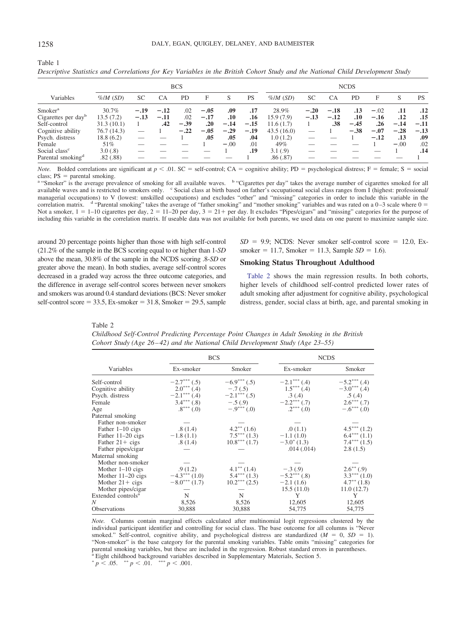| <b>BCS</b>                      |              |        |        |           |        |        |                  | <b>NCDS</b>  |           |        |           |        |        |           |
|---------------------------------|--------------|--------|--------|-----------|--------|--------|------------------|--------------|-----------|--------|-----------|--------|--------|-----------|
| Variables                       | $\%$ /M (SD) | SC     | СA     | <b>PD</b> | F      | S      | PS               | $\%$ /M (SD) | <b>SC</b> | CA     | <b>PD</b> | F      | S      | <b>PS</b> |
| Smoker <sup>a</sup>             | 30.7%        | $-.19$ | $-.12$ | .02       | $-.05$ | .09    | .17              | 28.9%        | $-.20$    | $-.18$ | .13       | $-.02$ | .11    | .12       |
| Cigarettes per day <sup>b</sup> | 13.5(7.2)    | $-.13$ | $-.11$ | .02       | $-.17$ | .10    | .16              | 15.9(7.9)    | $-.13$    | $-.12$ | $.10\,$   | $-.16$ | .12    | .15       |
| Self-control                    | 31.3(10.1)   |        | .42    | $-.39$    | .20    | $-.14$ | $-.15$           | 11.6(1.7)    |           | .38    | $-.45$    | .26    | $-.14$ | $-.11$    |
| Cognitive ability               | 76.7 (14.3)  |        |        | $-.22$    | $-.05$ | $-.29$ | $-.19$           | 43.5(16.0)   |           |        | $-.38$    | $-.07$ | $-.28$ | $-.13$    |
| Psych. distress                 | 18.8(6.2)    |        |        |           | .05    | .05    | .04              | 1.0(1.2)     |           |        |           | $-.12$ | .13    | .09       |
| Female                          | 51%          |        |        |           |        | $-.00$ | .01              | 49%          |           |        |           |        | $-.00$ | .02       |
| Social class <sup>c</sup>       | 3.0(.8)      |        |        |           |        |        | .19 <sub>1</sub> | 3.1(0.9)     |           |        |           |        |        | .14       |
| Parental smoking <sup>d</sup>   | .82(.88)     |        |        |           |        |        |                  | .86(.87)     |           |        |           |        |        |           |

*Descriptive Statistics and Correlations for Key Variables in the British Cohort Study and the National Child Development Study*

*Note.* Bolded correlations are significant at  $p < 0.01$ . SC = self-control; CA = cognitive ability; PD = psychological distress; F = female; S = social class;  $PS =$  parental smoking.

<sup>a</sup> "Smoker" is the average prevalence of smoking for all available waves. <sup>b</sup> "Cigarettes per day" takes the average number of cigarettes smoked for all available waves and is restricted to smokers only. <sup>c</sup> Social class at birth based on father's occupational social class ranges from I (highest: professional/ managerial occupations) to V (lowest: unskilled occupations) and excludes "other" and "missing" categories in order to include this variable in the correlation matrix.  $d$  "Parental smoking" takes the average of "father smoking" and "mother smoking" variables and was rated on a 0–3 scale where  $0 =$ Not a smoker,  $1 = 1-10$  cigarettes per day,  $2 = 11-20$  per day,  $3 = 21+$  per day. It excludes "Pipes/cigars" and "missing" categories for the purpose of including this variable in the correlation matrix. If useable data was not available for both parents, we used data on one parent to maximize sample size.

around 20 percentage points higher than those with high self-control (21.2% of the sample in the BCS scoring equal to or higher than 1-*SD* above the mean, 30.8% of the sample in the NCDS scoring .8-*SD* or greater above the mean). In both studies, average self-control scores decreased in a graded way across the three outcome categories, and the difference in average self-control scores between never smokers and smokers was around 0.4 standard deviations (BCS: Never smoker  $self-control score = 33.5, Ex-smoker = 31.8, Smoker = 29.5, sample$ 

 $SD = 9.9$ ; NCDS: Never smoker self-control score = 12.0, Ex $smoker = 11.7$ , Smoker = 11.3, Sample *SD* = 1.6).

# **Smoking Status Throughout Adulthood**

[Table 2](#page-4-1) shows the main regression results. In both cohorts, higher levels of childhood self-control predicted lower rates of adult smoking after adjustment for cognitive ability, psychological distress, gender, social class at birth, age, and parental smoking in

<span id="page-4-1"></span>Table 2

*Childhood Self-Control Predicting Percentage Point Changes in Adult Smoking in the British Cohort Study (Age 26 – 42) and the National Child Development Study (Age 23–55)*

|                                | <b>BCS</b>     |                  | <b>NCDS</b>          |                          |  |  |
|--------------------------------|----------------|------------------|----------------------|--------------------------|--|--|
| Variables                      | Ex-smoker      | Smoker           | Ex-smoker            | Smoker                   |  |  |
| Self-control                   | $-2.7***$ (.5) | $-6.9***$ (.5)   | $-2.1***$ (.4)       | $-5.2***$ (.4)           |  |  |
| Cognitive ability              | $2.0***$ (.4)  | $-.7(.5)$        | $1.5***(0.4)$        | $-3.0***$ (.4)           |  |  |
| Psych. distress                | $-2.1***$ (.4) | $-2.1***$ (.5)   | .3(.4)               | .5(.4)                   |  |  |
| Female                         | $3.4***(0.8)$  | $-.5(.9)$        | $-2.2***(0.7)$       | $2.6***(0.7)$            |  |  |
| Age                            | $.8***(0)$     | $-.9***(0)$      | $.2***(0)$           | $-.6***(0)$              |  |  |
| Paternal smoking               |                |                  |                      |                          |  |  |
| Father non-smoker              |                |                  |                      |                          |  |  |
| Father 1-10 cigs               | .8(1.4)        | $4.2^{**}$ (1.6) | .0(1.1)              | $4.5***(1.2)$            |  |  |
| Father $11-20$ cigs            | $-1.8(1.1)$    | $7.5***(1.3)$    | $-1.1(1.0)$          | $6.4***(1.1)$            |  |  |
| Father $21 + \text{cigs}$      | .8(1.4)        | $10.8***(1.7)$   | $-3.0^{\circ}$ (1.3) | $7.4***(1.5)$            |  |  |
| Father pipes/cigar             |                |                  | .014(.014)           | 2.8(1.5)                 |  |  |
| Maternal smoking               |                |                  |                      |                          |  |  |
| Mother non-smoker              |                |                  |                      |                          |  |  |
| Mother $1-10$ cigs             | .9(1.2)        | $4.1^{**}$ (1.4) | $-.3(.9)$            | $2.6^{**}(.9)$           |  |  |
| Mother $11-20$ cigs            | $-4.3***(1.0)$ | $5.4***(1.3)$    | $-5.2***(0.8)$       | $3.3***(1.0)$            |  |  |
| Mother $21 + \text{cigs}$      | $-8.0***(1.7)$ | $10.2***(2.5)$   | $-2.1(1.6)$          | $4.7^{\ast\ast}$ $(1.8)$ |  |  |
| Mother pipes/cigar             |                |                  | 15.5(11.0)           | 11.0(12.7)               |  |  |
| Extended controls <sup>a</sup> | N              | N                | Y                    | Y                        |  |  |
| N                              | 8,526          | 8,526            | 12,605               | 12,605                   |  |  |
| <b>Observations</b>            | 30,888         | 30,888           | 54,775               | 54,775                   |  |  |

*Note.* Columns contain marginal effects calculated after multinomial logit regressions clustered by the individual participant identifier and controlling for social class. The base outcome for all columns is "Never smoked." Self-control, cognitive ability, and psychological distress are standardized  $(M = 0, SD = 1)$ . "Non-smoker" is the base category for the parental smoking variables. Table omits "missing" categories for parental smoking variables, but these are included in the regression. Robust standard errors in parentheses. <sup>a</sup> Eight childhood background variables described in Supplementary Materials, Section 5.

<span id="page-4-0"></span>Table 1

 $p < .05.$  \*\*  $p < .01.$  \*\*\*  $p < .001.$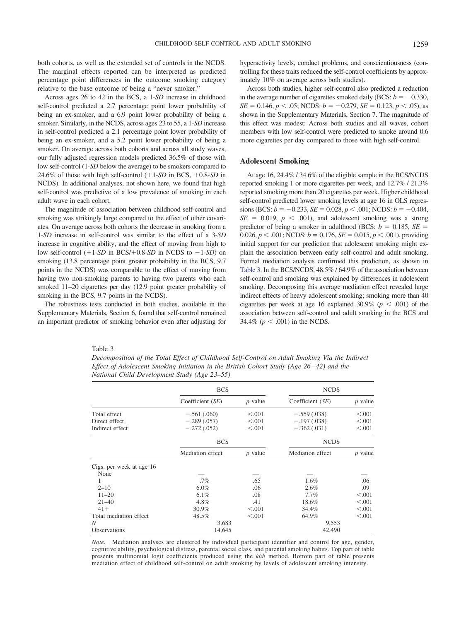both cohorts, as well as the extended set of controls in the NCDS. The marginal effects reported can be interpreted as predicted percentage point differences in the outcome smoking category relative to the base outcome of being a "never smoker."

Across ages 26 to 42 in the BCS, a 1-*SD* increase in childhood self-control predicted a 2.7 percentage point lower probability of being an ex-smoker, and a 6.9 point lower probability of being a smoker. Similarly, in the NCDS, across ages 23 to 55, a 1-*SD* increase in self-control predicted a 2.1 percentage point lower probability of being an ex-smoker, and a 5.2 point lower probability of being a smoker. On average across both cohorts and across all study waves, our fully adjusted regression models predicted 36.5% of those with low self-control (1-*SD* below the average) to be smokers compared to 24.6% of those with high self-control  $(+1$ -*SD* in BCS,  $+0.8$ -*SD* in NCDS). In additional analyses, not shown here, we found that high self-control was predictive of a low prevalence of smoking in each adult wave in each cohort.

The magnitude of association between childhood self-control and smoking was strikingly large compared to the effect of other covariates. On average across both cohorts the decrease in smoking from a 1-*SD* increase in self-control was similar to the effect of a 3-*SD* increase in cognitive ability, and the effect of moving from high to low self-control  $(+1$ -*SD* in BCS/ $+0.8$ -*SD* in NCDS to  $-1$ -*SD*) on smoking (13.8 percentage point greater probability in the BCS, 9.7 points in the NCDS) was comparable to the effect of moving from having two non-smoking parents to having two parents who each smoked 11–20 cigarettes per day (12.9 point greater probability of smoking in the BCS, 9.7 points in the NCDS).

The robustness tests conducted in both studies, available in the Supplementary Materials, Section 6, found that self-control remained an important predictor of smoking behavior even after adjusting for hyperactivity levels, conduct problems, and conscientiousness (controlling for these traits reduced the self-control coefficients by approximately 10% on average across both studies).

Across both studies, higher self-control also predicted a reduction in the average number of cigarettes smoked daily (BCS:  $b = -0.330$ ,  $SE = 0.146, p < .05$ ; NCDS:  $b = -0.279, SE = 0.123, p < .05$ ), as shown in the Supplementary Materials, Section 7. The magnitude of this effect was modest: Across both studies and all waves, cohort members with low self-control were predicted to smoke around 0.6 more cigarettes per day compared to those with high self-control.

# **Adolescent Smoking**

At age 16, 24.4% / 34.6% of the eligible sample in the BCS/NCDS reported smoking 1 or more cigarettes per week, and 12.7% / 21.3% reported smoking more than 20 cigarettes per week. Higher childhood self-control predicted lower smoking levels at age 16 in OLS regres $sions (BCS: b = -0.233, SE = 0.028, p < .001; NCDS: b = -0.404,$  $SE = 0.019$ ,  $p < .001$ ), and adolescent smoking was a strong predictor of being a smoker in adulthood (BCS:  $b = 0.185$ ,  $SE =$  $0.026, p < .001$ ; NCDS:  $b = 0.176, SE = 0.015, p < .001$ ), providing initial support for our prediction that adolescent smoking might explain the association between early self-control and adult smoking. Formal mediation analysis confirmed this prediction, as shown in [Table 3.](#page-5-0) In the BCS/NCDS, 48.5% / 64.9% of the association between self-control and smoking was explained by differences in adolescent smoking. Decomposing this average mediation effect revealed large indirect effects of heavy adolescent smoking; smoking more than 40 cigarettes per week at age 16 explained 30.9% ( $p < .001$ ) of the association between self-control and adult smoking in the BCS and 34.4% ( $p < .001$ ) in the NCDS.

#### <span id="page-5-0"></span>Table 3

*Decomposition of the Total Effect of Childhood Self-Control on Adult Smoking Via the Indirect Effect of Adolescent Smoking Initiation in the British Cohort Study (Age 26 – 42) and the National Child Development Study (Age 23–55)*

|                          | <b>BCS</b>       |           | <b>NCDS</b>      |           |  |  |
|--------------------------|------------------|-----------|------------------|-----------|--|--|
|                          | Coefficient (SE) | $p$ value | Coefficient (SE) | $p$ value |  |  |
| Total effect             | $-.561(.060)$    | < 0.001   | $-.559(.038)$    | < 0.001   |  |  |
| Direct effect            | $-.289(.057)$    | < 0.001   | $-.197(.038)$    | < 0.001   |  |  |
| Indirect effect          | $-.272(.052)$    | < 0.001   | $-.362(.031)$    | < 0.001   |  |  |
|                          | <b>BCS</b>       |           | <b>NCDS</b>      |           |  |  |
|                          | Mediation effect | $p$ value | Mediation effect | $p$ value |  |  |
| Cigs. per week at age 16 |                  |           |                  |           |  |  |
| None                     |                  |           |                  |           |  |  |
| 1                        | $.7\%$           | .65       | 1.6%             | .06       |  |  |
| $2 - 10$                 | $6.0\%$          | .06       | 2.6%             | .09       |  |  |
| $11 - 20$                | $6.1\%$          | .08       | 7.7%             | < 0.001   |  |  |
| $21 - 40$                | 4.8%             | .41       | 18.6%            | < 0.001   |  |  |
| $41+$                    | 30.9%            | < 0.001   | 34.4%            | < 0.001   |  |  |
| Total mediation effect   | 48.5%            | < 0.001   | 64.9%            | < 0.001   |  |  |
| N                        | 3,683            |           | 9,553            |           |  |  |
| <b>Observations</b>      | 14,645           |           | 42,490           |           |  |  |

*Note.* Mediation analyses are clustered by individual participant identifier and control for age, gender, cognitive ability, psychological distress, parental social class, and parental smoking habits. Top part of table presents multinomial logit coefficients produced using the *khb* method. Bottom part of table presents mediation effect of childhood self-control on adult smoking by levels of adolescent smoking intensity.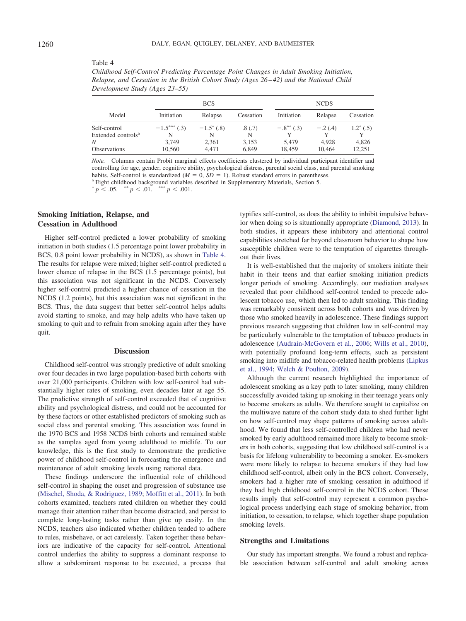#### <span id="page-6-0"></span>Table 4

*Childhood Self-Control Predicting Percentage Point Changes in Adult Smoking Initiation, Relapse, and Cessation in the British Cohort Study (Ages 26 – 42) and the National Child Development Study (Ages 23–55)*

|                                                |                     | <b>BCS</b>              |                | <b>NCDS</b>     |                 |                 |  |  |
|------------------------------------------------|---------------------|-------------------------|----------------|-----------------|-----------------|-----------------|--|--|
| Model                                          | Initiation          | Relapse                 | Cessation      | Initiation      | Relapse         | Cessation       |  |  |
| Self-control<br>Extended controls <sup>a</sup> | $-1.5***(0.3)$<br>N | $-1.5^{\ast}$ (.8)<br>N | .8(0.7)<br>N   | $-.8^{**}(.3)$  | $-.2(.4)$       | $1.2^*$ (.5)    |  |  |
| Ν<br>Observations                              | 3.749<br>10,560     | 2,361<br>4.471          | 3,153<br>6,849 | 5.479<br>18.459 | 4.928<br>10.464 | 4,826<br>12.251 |  |  |

*Note.* Columns contain Probit marginal effects coefficients clustered by individual participant identifier and controlling for age, gender, cognitive ability, psychological distress, parental social class, and parental smoking habits. Self-control is standardized  $(M = 0, SD =$ 

<sup>a</sup> Eight childhood background variables described in Supplementary Materials, Section 5.

 $p < .05.$  \*\*  $p < .01.$  \*\*\*  $p < .001.$ 

# **Smoking Initiation, Relapse, and Cessation in Adulthood**

Higher self-control predicted a lower probability of smoking initiation in both studies (1.5 percentage point lower probability in BCS, 0.8 point lower probability in NCDS), as shown in [Table 4.](#page-6-0) The results for relapse were mixed; higher self-control predicted a lower chance of relapse in the BCS (1.5 percentage points), but this association was not significant in the NCDS. Conversely higher self-control predicted a higher chance of cessation in the NCDS (1.2 points), but this association was not significant in the BCS. Thus, the data suggest that better self-control helps adults avoid starting to smoke, and may help adults who have taken up smoking to quit and to refrain from smoking again after they have quit.

# **Discussion**

Childhood self-control was strongly predictive of adult smoking over four decades in two large population-based birth cohorts with over 21,000 participants. Children with low self-control had substantially higher rates of smoking, even decades later at age 55. The predictive strength of self-control exceeded that of cognitive ability and psychological distress, and could not be accounted for by these factors or other established predictors of smoking such as social class and parental smoking. This association was found in the 1970 BCS and 1958 NCDS birth cohorts and remained stable as the samples aged from young adulthood to midlife. To our knowledge, this is the first study to demonstrate the predictive power of childhood self-control in forecasting the emergence and maintenance of adult smoking levels using national data.

These findings underscore the influential role of childhood self-control in shaping the onset and progression of substance use [\(Mischel, Shoda, & Rodriguez, 1989;](#page-8-26) [Moffitt et al., 2011\)](#page-8-3). In both cohorts examined, teachers rated children on whether they could manage their attention rather than become distracted, and persist to complete long-lasting tasks rather than give up easily. In the NCDS, teachers also indicated whether children tended to adhere to rules, misbehave, or act carelessly. Taken together these behaviors are indicative of the capacity for self-control. Attentional control underlies the ability to suppress a dominant response to allow a subdominant response to be executed, a process that

typifies self-control, as does the ability to inhibit impulsive behavior when doing so is situationally appropriate [\(Diamond, 2013\)](#page-8-27). In both studies, it appears these inhibitory and attentional control capabilities stretched far beyond classroom behavior to shape how susceptible children were to the temptation of cigarettes throughout their lives.

It is well-established that the majority of smokers initiate their habit in their teens and that earlier smoking initiation predicts longer periods of smoking. Accordingly, our mediation analyses revealed that poor childhood self-control tended to precede adolescent tobacco use, which then led to adult smoking. This finding was remarkably consistent across both cohorts and was driven by those who smoked heavily in adolescence. These findings support previous research suggesting that children low in self-control may be particularly vulnerable to the temptation of tobacco products in adolescence [\(Audrain-McGovern et al., 2006;](#page-7-1) [Wills et al., 2010\)](#page-9-6), with potentially profound long-term effects, such as persistent smoking into midlife and tobacco-related health problems [\(Lipkus](#page-8-14) [et al., 1994;](#page-8-14) [Welch & Poulton, 2009\)](#page-9-5).

Although the current research highlighted the importance of adolescent smoking as a key path to later smoking, many children successfully avoided taking up smoking in their teenage years only to become smokers as adults. We therefore sought to capitalize on the multiwave nature of the cohort study data to shed further light on how self-control may shape patterns of smoking across adulthood. We found that less self-controlled children who had never smoked by early adulthood remained more likely to become smokers in both cohorts, suggesting that low childhood self-control is a basis for lifelong vulnerability to becoming a smoker. Ex-smokers were more likely to relapse to become smokers if they had low childhood self-control, albeit only in the BCS cohort. Conversely, smokers had a higher rate of smoking cessation in adulthood if they had high childhood self-control in the NCDS cohort. These results imply that self-control may represent a common psychological process underlying each stage of smoking behavior, from initiation, to cessation, to relapse, which together shape population smoking levels.

#### **Strengths and Limitations**

Our study has important strengths. We found a robust and replicable association between self-control and adult smoking across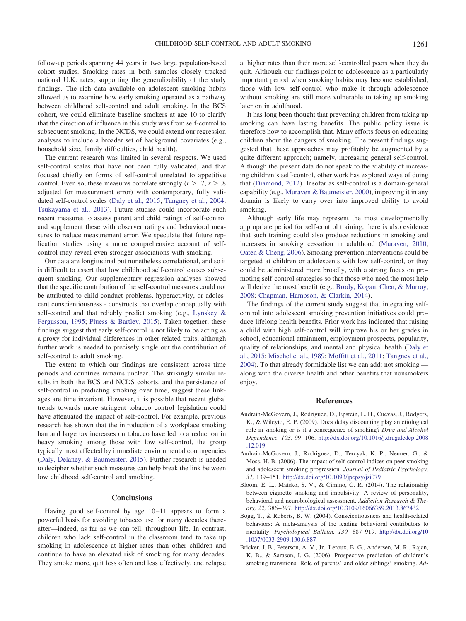follow-up periods spanning 44 years in two large population-based cohort studies. Smoking rates in both samples closely tracked national U.K. rates, supporting the generalizability of the study findings. The rich data available on adolescent smoking habits allowed us to examine how early smoking operated as a pathway between childhood self-control and adult smoking. In the BCS cohort, we could eliminate baseline smokers at age 10 to clarify that the direction of influence in this study was from self-control to subsequent smoking. In the NCDS, we could extend our regression analyses to include a broader set of background covariates (e.g., household size, family difficulties, child health).

The current research was limited in several respects. We used self-control scales that have not been fully validated, and that focused chiefly on forms of self-control unrelated to appetitive control. Even so, these measures correlate strongly  $(r > .7, r > .8)$ adjusted for measurement error) with contemporary, fully validated self-control scales [\(Daly et al., 2015;](#page-8-21) [Tangney et al., 2004;](#page-9-11) [Tsukayama et al., 2013\)](#page-9-12). Future studies could incorporate such recent measures to assess parent and child ratings of self-control and supplement these with observer ratings and behavioral measures to reduce measurement error. We speculate that future replication studies using a more comprehensive account of selfcontrol may reveal even stronger associations with smoking.

Our data are longitudinal but nonetheless correlational, and so it is difficult to assert that low childhood self-control causes subsequent smoking. Our supplementary regression analyses showed that the specific contribution of the self-control measures could not be attributed to child conduct problems, hyperactivity, or adolescent conscientiousness - constructs that overlap conceptually with self-control and that reliably predict smoking (e.g., [Lynskey &](#page-8-17) [Fergusson, 1995;](#page-8-17) [Pluess & Bartley, 2015\)](#page-9-3). Taken together, these findings suggest that early self-control is not likely to be acting as a proxy for individual differences in other related traits, although further work is needed to precisely single out the contribution of self-control to adult smoking.

The extent to which our findings are consistent across time periods and countries remains unclear. The strikingly similar results in both the BCS and NCDS cohorts, and the persistence of self-control in predicting smoking over time, suggest these linkages are time invariant. However, it is possible that recent global trends towards more stringent tobacco control legislation could have attenuated the impact of self-control. For example, previous research has shown that the introduction of a workplace smoking ban and large tax increases on tobacco have led to a reduction in heavy smoking among those with low self-control, the group typically most affected by immediate environmental contingencies [\(Daly, Delaney, & Baumeister, 2015\)](#page-8-21). Further research is needed to decipher whether such measures can help break the link between low childhood self-control and smoking.

# **Conclusions**

Having good self-control by age 10–11 appears to form a powerful basis for avoiding tobacco use for many decades thereafter—indeed, as far as we can tell, throughout life. In contrast, children who lack self-control in the classroom tend to take up smoking in adolescence at higher rates than other children and continue to have an elevated risk of smoking for many decades. They smoke more, quit less often and less effectively, and relapse

at higher rates than their more self-controlled peers when they do quit. Although our findings point to adolescence as a particularly important period when smoking habits may become established, those with low self-control who make it through adolescence without smoking are still more vulnerable to taking up smoking later on in adulthood.

It has long been thought that preventing children from taking up smoking can have lasting benefits. The public policy issue is therefore how to accomplish that. Many efforts focus on educating children about the dangers of smoking. The present findings suggested that these approaches may profitably be augmented by a quite different approach; namely, increasing general self-control. Although the present data do not speak to the viability of increasing children's self-control, other work has explored ways of doing that [\(Diamond, 2012\)](#page-8-28). Insofar as self-control is a domain-general capability (e.g., [Muraven & Baumeister, 2000\)](#page-8-29), improving it in any domain is likely to carry over into improved ability to avoid smoking.

Although early life may represent the most developmentally appropriate period for self-control training, there is also evidence that such training could also produce reductions in smoking and increases in smoking cessation in adulthood [\(Muraven, 2010;](#page-8-16) [Oaten & Cheng, 2006\)](#page-8-30). Smoking prevention interventions could be targeted at children or adolescents with low self-control, or they could be administered more broadly, with a strong focus on promoting self-control strategies so that those who need the most help will derive the most benefit (e.g., [Brody, Kogan, Chen, & Murray,](#page-8-31) [2008;](#page-8-31) [Chapman, Hampson, & Clarkin, 2014\)](#page-8-32).

The findings of the current study suggest that integrating selfcontrol into adolescent smoking prevention initiatives could produce lifelong health benefits. Prior work has indicated that raising a child with high self-control will improve his or her grades in school, educational attainment, employment prospects, popularity, quality of relationships, and mental and physical health [\(Daly et](#page-8-21) [al., 2015;](#page-8-21) [Mischel et al., 1989;](#page-8-26) [Moffitt et al., 2011;](#page-8-3) [Tangney et al.,](#page-9-11) [2004\)](#page-9-11). To that already formidable list we can add: not smoking along with the diverse health and other benefits that nonsmokers enjoy.

#### **References**

- <span id="page-7-0"></span>Audrain-McGovern, J., Rodriguez, D., Epstein, L. H., Cuevas, J., Rodgers, K., & Wileyto, E. P. (2009). Does delay discounting play an etiological role in smoking or is it a consequence of smoking? *Drug and Alcohol Dependence, 103,* 99–106. [http://dx.doi.org/10.1016/j.drugalcdep.2008](http://dx.doi.org/10.1016/j.drugalcdep.2008.12.019) [.12.019](http://dx.doi.org/10.1016/j.drugalcdep.2008.12.019)
- <span id="page-7-1"></span>Audrain-McGovern, J., Rodriguez, D., Tercyak, K. P., Neuner, G., & Moss, H. B. (2006). The impact of self-control indices on peer smoking and adolescent smoking progression. *Journal of Pediatric Psychology, 31,* 139–151. <http://dx.doi.org/10.1093/jpepsy/jsi079>
- <span id="page-7-4"></span>Bloom, E. L., Matsko, S. V., & Cimino, C. R. (2014). The relationship between cigarette smoking and impulsivity: A review of personality, behavioral and neurobiological assessment. *Addiction Research & Theory, 22,* 386–397. <http://dx.doi.org/10.3109/16066359.2013.867432>
- <span id="page-7-2"></span>Bogg, T., & Roberts, B. W. (2004). Conscientiousness and health-related behaviors: A meta-analysis of the leading behavioral contributors to mortality. *Psychological Bulletin, 130,* 887–919. [http://dx.doi.org/10](http://dx.doi.org/10.1037/0033-2909.130.6.887) [.1037/0033-2909.130.6.887](http://dx.doi.org/10.1037/0033-2909.130.6.887)
- <span id="page-7-3"></span>Bricker, J. B., Peterson, A. V., Jr., Leroux, B. G., Andersen, M. R., Rajan, K. B., & Sarason, I. G. (2006). Prospective prediction of children's smoking transitions: Role of parents' and older siblings' smoking. *Ad-*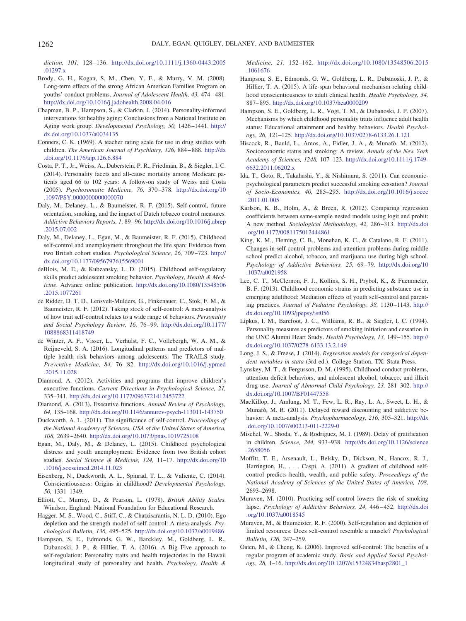*diction, 101,* 128–136. [http://dx.doi.org/10.1111/j.1360-0443.2005](http://dx.doi.org/10.1111/j.1360-0443.2005.01297.x) [.01297.x](http://dx.doi.org/10.1111/j.1360-0443.2005.01297.x)

- <span id="page-8-31"></span>Brody, G. H., Kogan, S. M., Chen, Y. F., & Murry, V. M. (2008). Long-term effects of the strong African American Families Program on youths' conduct problems. *Journal of Adolescent Health, 43,* 474–481. <http://dx.doi.org/10.1016/j.jadohealth.2008.04.016>
- <span id="page-8-32"></span>Chapman, B. P., Hampson, S., & Clarkin, J. (2014). Personality-informed interventions for healthy aging: Conclusions from a National Institute on Aging work group. *Developmental Psychology, 50,* 1426–1441. [http://](http://dx.doi.org/10.1037/a0034135) [dx.doi.org/10.1037/a0034135](http://dx.doi.org/10.1037/a0034135)
- <span id="page-8-18"></span>Conners, C. K. (1969). A teacher rating scale for use in drug studies with children. *The American Journal of Psychiatry, 126,* 884–888. [http://dx](http://dx.doi.org/10.1176/ajp.126.6.884) [.doi.org/10.1176/ajp.126.6.884](http://dx.doi.org/10.1176/ajp.126.6.884)
- <span id="page-8-9"></span>Costa, P. T., Jr., Weiss, A., Duberstein, P. R., Friedman, B., & Siegler, I. C. (2014). Personality facets and all-cause mortality among Medicare patients aged 66 to 102 years: A follow-on study of Weiss and Costa (2005). *Psychosomatic Medicine, 76,* 370–378. [http://dx.doi.org/10](http://dx.doi.org/10.1097/PSY.0000000000000070) [.1097/PSY.0000000000000070](http://dx.doi.org/10.1097/PSY.0000000000000070)
- <span id="page-8-21"></span>Daly, M., Delaney, L., & Baumeister, R. F. (2015). Self-control, future orientation, smoking, and the impact of Dutch tobacco control measures. *Addictive Behaviors Reports, 1,* 89–96. [http://dx.doi.org/10.1016/j.abrep](http://dx.doi.org/10.1016/j.abrep.2015.07.002) [.2015.07.002](http://dx.doi.org/10.1016/j.abrep.2015.07.002)
- <span id="page-8-20"></span>Daly, M., Delaney, L., Egan, M., & Baumeister, R. F. (2015). Childhood self-control and unemployment throughout the life span: Evidence from two British cohort studies. *Psychological Science, 26,* 709–723. [http://](http://dx.doi.org/10.1177/0956797615569001) [dx.doi.org/10.1177/0956797615569001](http://dx.doi.org/10.1177/0956797615569001)
- <span id="page-8-4"></span>deBlois, M. E., & Kubzansky, L. D. (2015). Childhood self-regulatory skills predict adolescent smoking behavior. *Psychology, Health & Medicine*. Advance online publication. [http://dx.doi.org/10.1080/13548506](http://dx.doi.org/10.1080/13548506.2015.1077261) [.2015.1077261](http://dx.doi.org/10.1080/13548506.2015.1077261)
- <span id="page-8-0"></span>de Ridder, D. T. D., Lensvelt-Mulders, G., Finkenauer, C., Stok, F. M., & Baumeister, R. F. (2012). Taking stock of self-control: A meta-analysis of how trait self-control relates to a wide range of behaviors. *Personality and Social Psychology Review, 16,* 76–99. [http://dx.doi.org/10.1177/](http://dx.doi.org/10.1177/1088868311418749) [1088868311418749](http://dx.doi.org/10.1177/1088868311418749)
- <span id="page-8-11"></span>de Winter, A. F., Visser, L., Verhulst, F. C., Vollebergh, W. A. M., & Reijneveld, S. A. (2016). Longitudinal patterns and predictors of multiple health risk behaviors among adolescents: The TRAILS study. *Preventive Medicine, 84,* 76–82. [http://dx.doi.org/10.1016/j.ypmed](http://dx.doi.org/10.1016/j.ypmed.2015.11.028) [.2015.11.028](http://dx.doi.org/10.1016/j.ypmed.2015.11.028)
- <span id="page-8-28"></span>Diamond, A. (2012). Activities and programs that improve children's executive functions. *Current Directions in Psychological Science, 21,* 335–341. <http://dx.doi.org/10.1177/0963721412453722>
- <span id="page-8-27"></span>Diamond, A. (2013). Executive functions. *Annual Review of Psychology, 64,* 135–168. <http://dx.doi.org/10.1146/annurev-psych-113011-143750>
- <span id="page-8-1"></span>Duckworth, A. L. (2011). The significance of self-control. *Proceedings of the National Academy of Sciences, USA of the United States of America, 108,* 2639–2640. <http://dx.doi.org/10.1073/pnas.1019725108>
- <span id="page-8-23"></span>Egan, M., Daly, M., & Delaney, L. (2015). Childhood psychological distress and youth unemployment: Evidence from two British cohort studies. *Social Science & Medicine, 124,* 11–17. [http://dx.doi.org/10](http://dx.doi.org/10.1016/j.socscimed.2014.11.023) [.1016/j.socscimed.2014.11.023](http://dx.doi.org/10.1016/j.socscimed.2014.11.023)
- <span id="page-8-8"></span>Eisenberg, N., Duckworth, A. L., Spinrad, T. L., & Valiente, C. (2014). Conscientiousness: Origins in childhood? *Developmental Psychology, 50,* 1331–1349.
- <span id="page-8-22"></span>Elliott, C., Murray, D., & Pearson, L. (1978). *British Ability Scales*. Windsor, England: National Foundation for Educational Research.
- <span id="page-8-19"></span>Hagger, M. S., Wood, C., Stiff, C., & Chatzisarantis, N. L. D. (2010). Ego depletion and the strength model of self-control: A meta-analysis. *Psychological Bulletin, 136,* 495–525. <http://dx.doi.org/10.1037/a0019486>
- <span id="page-8-10"></span>Hampson, S. E., Edmonds, G. W., Barckley, M., Goldberg, L. R., Dubanoski, J. P., & Hillier, T. A. (2016). A Big Five approach to self-regulation: Personality traits and health trajectories in the Hawaii longitudinal study of personality and health. *Psychology, Health &*

*Medicine, 21,* 152–162. [http://dx.doi.org/10.1080/13548506.2015](http://dx.doi.org/10.1080/13548506.2015.1061676) [.1061676](http://dx.doi.org/10.1080/13548506.2015.1061676)

- <span id="page-8-6"></span>Hampson, S. E., Edmonds, G. W., Goldberg, L. R., Dubanoski, J. P., & Hillier, T. A. (2015). A life-span behavioral mechanism relating childhood conscientiousness to adult clinical health. *Health Psychology, 34,* 887–895. <http://dx.doi.org/10.1037/hea0000209>
- <span id="page-8-7"></span>Hampson, S. E., Goldberg, L. R., Vogt, T. M., & Dubanoski, J. P. (2007). Mechanisms by which childhood personality traits influence adult health status: Educational attainment and healthy behaviors. *Health Psychology, 26,* 121–125. <http://dx.doi.org/10.1037/0278-6133.26.1.121>
- <span id="page-8-5"></span>Hiscock, R., Bauld, L., Amos, A., Fidler, J. A., & Munafò, M. (2012). Socioeconomic status and smoking: A review. *Annals of the New York Academy of Sciences, 1248,* 107–123. [http://dx.doi.org/10.1111/j.1749-](http://dx.doi.org/10.1111/j.1749-6632.2011.06202.x) [6632.2011.06202.x](http://dx.doi.org/10.1111/j.1749-6632.2011.06202.x)
- <span id="page-8-15"></span>Ida, T., Goto, R., Takahashi, Y., & Nishimura, S. (2011). Can economicpsychological parameters predict successful smoking cessation? *Journal of Socio-Economics, 40,* 285–295. [http://dx.doi.org/10.1016/j.socec](http://dx.doi.org/10.1016/j.socec.2011.01.005) [.2011.01.005](http://dx.doi.org/10.1016/j.socec.2011.01.005)
- <span id="page-8-25"></span>Karlson, K. B., Holm, A., & Breen, R. (2012). Comparing regression coefficients between same-sample nested models using logit and probit: A new method. *Sociological Methodology, 42,* 286–313. [http://dx.doi](http://dx.doi.org/10.1177/0081175012444861) [.org/10.1177/0081175012444861](http://dx.doi.org/10.1177/0081175012444861)
- <span id="page-8-12"></span>King, K. M., Fleming, C. B., Monahan, K. C., & Catalano, R. F. (2011). Changes in self-control problems and attention problems during middle school predict alcohol, tobacco, and marijuana use during high school. *Psychology of Addictive Behaviors, 25,* 69–79. [http://dx.doi.org/10](http://dx.doi.org/10.1037/a0021958) [.1037/a0021958](http://dx.doi.org/10.1037/a0021958)
- <span id="page-8-13"></span>Lee, C. T., McClernon, F. J., Kollins, S. H., Prybol, K., & Fuemmeler, B. F. (2013). Childhood economic strains in predicting substance use in emerging adulthood: Mediation effects of youth self-control and parenting practices. *Journal of Pediatric Psychology, 38,* 1130–1143. [http://](http://dx.doi.org/10.1093/jpepsy/jst056) [dx.doi.org/10.1093/jpepsy/jst056](http://dx.doi.org/10.1093/jpepsy/jst056)
- <span id="page-8-14"></span>Lipkus, I. M., Barefoot, J. C., Williams, R. B., & Siegler, I. C. (1994). Personality measures as predictors of smoking initiation and cessation in the UNC Alumni Heart Study. *Health Psychology, 13,* 149–155. [http://](http://dx.doi.org/10.1037/0278-6133.13.2.149) [dx.doi.org/10.1037/0278-6133.13.2.149](http://dx.doi.org/10.1037/0278-6133.13.2.149)
- <span id="page-8-24"></span>Long, J. S., & Freese, J. (2014). *Regression models for categorical dependent variables in stata* (3rd ed.). College Station, TX: Stata Press.
- <span id="page-8-17"></span>Lynskey, M. T., & Fergusson, D. M. (1995). Childhood conduct problems, attention deficit behaviors, and adolescent alcohol, tobacco, and illicit drug use. *Journal of Abnormal Child Psychology, 23,* 281–302. [http://](http://dx.doi.org/10.1007/BF01447558) [dx.doi.org/10.1007/BF01447558](http://dx.doi.org/10.1007/BF01447558)
- <span id="page-8-2"></span>MacKillop, J., Amlung, M. T., Few, L. R., Ray, L. A., Sweet, L. H., & Munafò, M. R. (2011). Delayed reward discounting and addictive behavior: A meta-analysis. *Psychopharmacology, 216,* 305–321. [http://dx](http://dx.doi.org/10.1007/s00213-011-2229-0) [.doi.org/10.1007/s00213-011-2229-0](http://dx.doi.org/10.1007/s00213-011-2229-0)
- <span id="page-8-26"></span>Mischel, W., Shoda, Y., & Rodriguez, M. I. (1989). Delay of gratification in children. *Science, 244,* 933–938. [http://dx.doi.org/10.1126/science](http://dx.doi.org/10.1126/science.2658056) [.2658056](http://dx.doi.org/10.1126/science.2658056)
- <span id="page-8-3"></span>Moffitt, T. E., Arsenault, L., Belsky, D., Dickson, N., Hancox, R. J., Harrington, H., . . . Caspi, A. (2011). A gradient of childhood selfcontrol predicts health, wealth, and public safety. *Proceedings of the National Academy of Sciences of the United States of America, 108,* 2693–2698.
- <span id="page-8-16"></span>Muraven, M. (2010). Practicing self-control lowers the risk of smoking lapse. *Psychology of Addictive Behaviors, 24,* 446–452. [http://dx.doi](http://dx.doi.org/10.1037/a0018545) [.org/10.1037/a0018545](http://dx.doi.org/10.1037/a0018545)
- <span id="page-8-29"></span>Muraven, M., & Baumeister, R. F. (2000). Self-regulation and depletion of limited resources: Does self-control resemble a muscle? *Psychological Bulletin, 126,* 247–259.
- <span id="page-8-30"></span>Oaten, M., & Cheng, K. (2006). Improved self-control: The benefits of a regular program of academic study. *Basic and Applied Social Psychology, 28,* 1–16. [http://dx.doi.org/10.1207/s15324834basp2801\\_1](http://dx.doi.org/10.1207/s15324834basp2801_1)